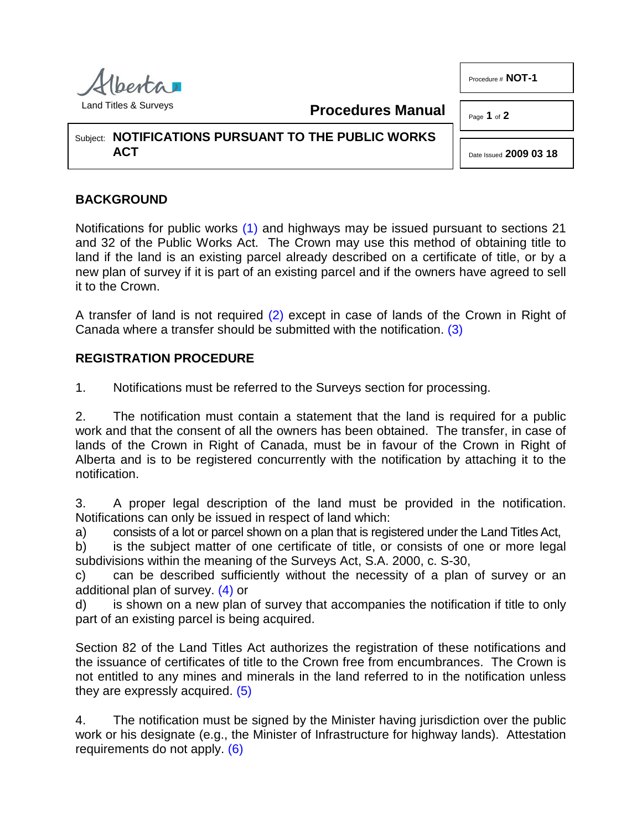Procedure # **NOT-1**



<span id="page-0-0"></span>**Procedures Manual**

Page **1** of **2**

Subject: **NOTIFICATIONS PURSUANT TO THE PUBLIC WORKS ACT**

## <span id="page-0-2"></span>Date Issued **2009 03 18**

## **BACKGROUND**

Notifications for public works [\(1\)](#page-1-0) and highways may be issued pursuant to sections 21 and 32 of the Public Works Act. The Crown may use this method of obtaining title to land if the land is an existing parcel already described on a certificate of title, or by a new plan of survey if it is part of an existing parcel and if the owners have agreed to sell it to the Crown.

<span id="page-0-1"></span>A transfer of land is not required [\(2\)](#page-1-1) except in case of lands of the Crown in Right of Canada where a transfer should be submitted with the notification. [\(3\)](#page-1-2)

## **REGISTRATION PROCEDURE**

1. Notifications must be referred to the Surveys section for processing.

2. The notification must contain a statement that the land is required for a public work and that the consent of all the owners has been obtained. The transfer, in case of lands of the Crown in Right of Canada, must be in favour of the Crown in Right of Alberta and is to be registered concurrently with the notification by attaching it to the notification.

3. A proper legal description of the land must be provided in the notification. Notifications can only be issued in respect of land which:

a) consists of a lot or parcel shown on a plan that is registered under the Land Titles Act,

b) is the subject matter of one certificate of title, or consists of one or more legal subdivisions within the meaning of the Surveys Act, S.A. 2000, c. S-30,

<span id="page-0-3"></span>c) can be described sufficiently without the necessity of a plan of survey or an additional plan of survey. [\(4\)](#page-1-3) or

d) is shown on a new plan of survey that accompanies the notification if title to only part of an existing parcel is being acquired.

Section 82 of the Land Titles Act authorizes the registration of these notifications and the issuance of certificates of title to the Crown free from encumbrances. The Crown is not entitled to any mines and minerals in the land referred to in the notification unless they are expressly acquired. [\(5\)](#page-1-4)

<span id="page-0-5"></span><span id="page-0-4"></span>4. The notification must be signed by the Minister having jurisdiction over the public work or his designate (e.g., the Minister of Infrastructure for highway lands). Attestation requirements do not apply. [\(6\)](#page-1-5)